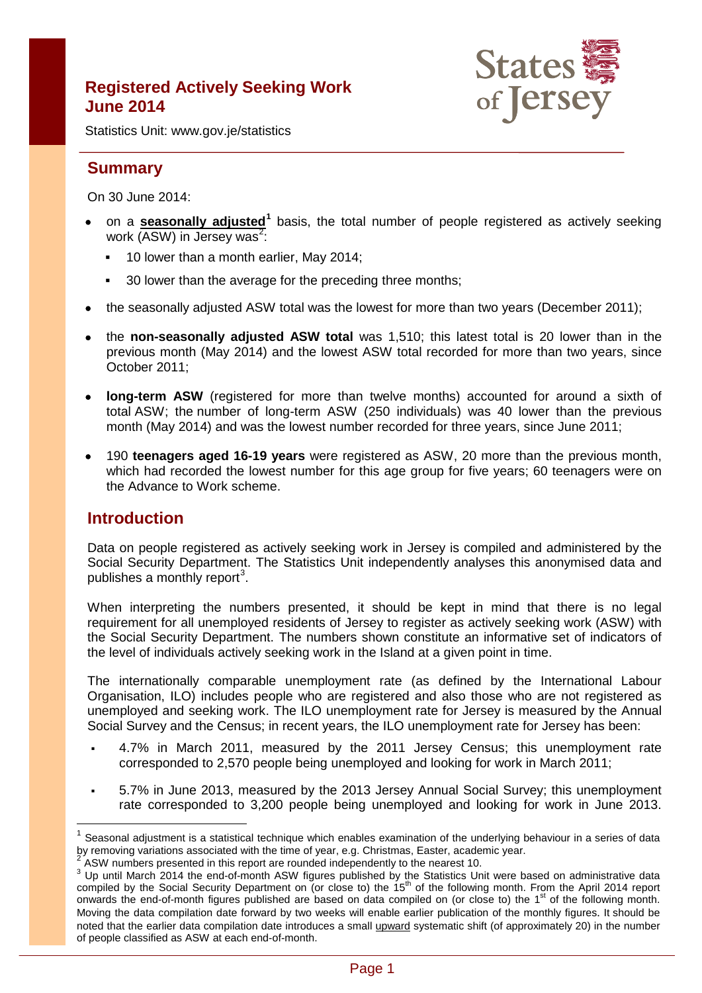# **Registered Actively Seeking Work June 2014**



Statistics Unit: www.gov.je/statistics

# **Summary**

On 30 June 2014:

- on a **seasonally adjusted[1](#page-0-0)** basis, the total number of people registered as actively seeking work (ASW) in Jersey was<sup>[2](#page-0-1)</sup>:
	- **10 lower than a month earlier, May 2014;**
	- <sup>30</sup> lower than the average for the preceding three months:
- the seasonally adjusted ASW total was the lowest for more than two years (December 2011);
- the **non-seasonally adjusted ASW total** was 1,510; this latest total is 20 lower than in the previous month (May 2014) and the lowest ASW total recorded for more than two years, since October 2011;
- **long-term ASW** (registered for more than twelve months) accounted for around a sixth of total ASW; the number of long-term ASW (250 individuals) was 40 lower than the previous month (May 2014) and was the lowest number recorded for three years, since June 2011;
- 190 **teenagers aged 16-19 years** were registered as ASW, 20 more than the previous month, which had recorded the lowest number for this age group for five years; 60 teenagers were on the Advance to Work scheme.

## **Introduction**

 $\overline{1}$ 

Data on people registered as actively seeking work in Jersey is compiled and administered by the Social Security Department. The Statistics Unit independently analyses this anonymised data and publishes a monthly report<sup>[3](#page-0-2)</sup>.

When interpreting the numbers presented, it should be kept in mind that there is no legal requirement for all unemployed residents of Jersey to register as actively seeking work (ASW) with the Social Security Department. The numbers shown constitute an informative set of indicators of the level of individuals actively seeking work in the Island at a given point in time.

The internationally comparable unemployment rate (as defined by the International Labour Organisation, ILO) includes people who are registered and also those who are not registered as unemployed and seeking work. The ILO unemployment rate for Jersey is measured by the Annual Social Survey and the Census; in recent years, the ILO unemployment rate for Jersey has been:

- 4.7% in March 2011, measured by the 2011 Jersey Census; this unemployment rate corresponded to 2,570 people being unemployed and looking for work in March 2011;
- 5.7% in June 2013, measured by the 2013 Jersey Annual Social Survey; this unemployment rate corresponded to 3,200 people being unemployed and looking for work in June 2013.

<span id="page-0-0"></span>Seasonal adjustment is a statistical technique which enables examination of the underlying behaviour in a series of data by removing variations associated with the time of year, e.g. Christmas, Easter, academic year.

<span id="page-0-2"></span><span id="page-0-1"></span><sup>&</sup>lt;sup>2</sup> ASW numbers presented in this report are rounded independently to the nearest 10.<br><sup>3</sup> Up until March 2014 the end-of-month ASW figures published by the Statistics Unit were based on administrative data compiled by the Social Security Department on (or close to) the 15<sup>th</sup> of the following month. From the April 2014 report onwards the end-of-month figures published are based on data compiled on (or close to) the 1<sup>st</sup> of the following month. Moving the data compilation date forward by two weeks will enable earlier publication of the monthly figures. It should be noted that the earlier data compilation date introduces a small upward systematic shift (of approximately 20) in the number of people classified as ASW at each end-of-month.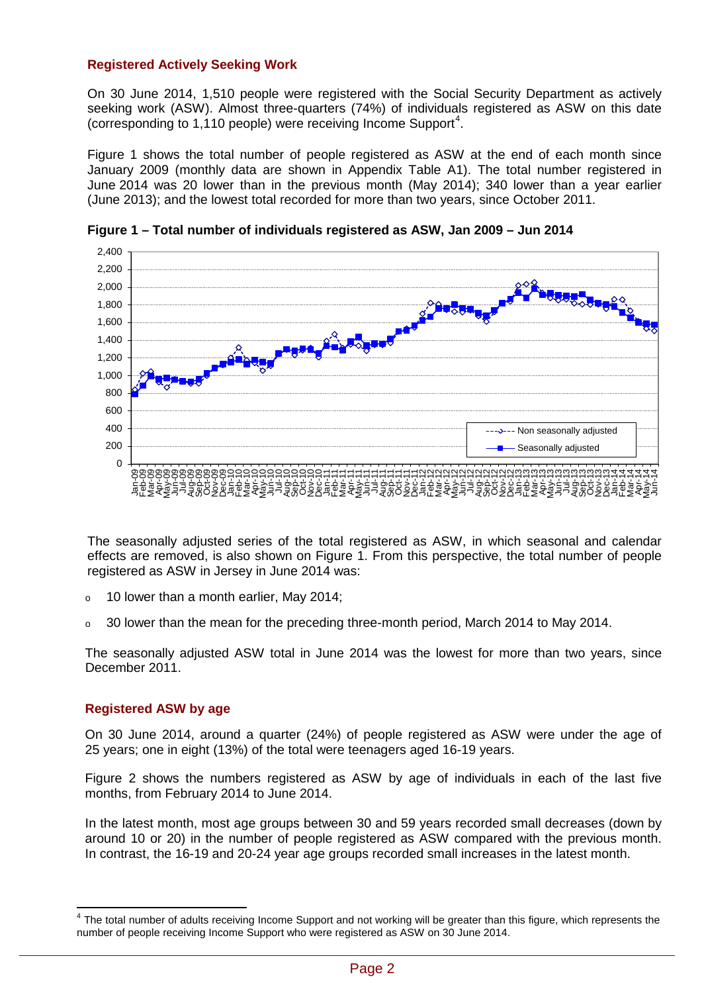### **Registered Actively Seeking Work**

On 30 June 2014, 1,510 people were registered with the Social Security Department as actively seeking work (ASW). Almost three-quarters (74%) of individuals registered as ASW on this date (corresponding to 1,110 people) were receiving Income Support<sup>[4](#page-1-0)</sup>.

Figure 1 shows the total number of people registered as ASW at the end of each month since January 2009 (monthly data are shown in Appendix Table A1). The total number registered in June 2014 was 20 lower than in the previous month (May 2014); 340 lower than a year earlier (June 2013); and the lowest total recorded for more than two years, since October 2011.



**Figure 1 – Total number of individuals registered as ASW, Jan 2009 – Jun 2014**

The seasonally adjusted series of the total registered as ASW, in which seasonal and calendar effects are removed, is also shown on Figure 1. From this perspective, the total number of people registered as ASW in Jersey in June 2014 was:

- $\circ$  10 lower than a month earlier, May 2014;
- o 30 lower than the mean for the preceding three-month period, March 2014 to May 2014.

The seasonally adjusted ASW total in June 2014 was the lowest for more than two years, since December 2011.

## **Registered ASW by age**

On 30 June 2014, around a quarter (24%) of people registered as ASW were under the age of 25 years; one in eight (13%) of the total were teenagers aged 16-19 years.

Figure 2 shows the numbers registered as ASW by age of individuals in each of the last five months, from February 2014 to June 2014.

In the latest month, most age groups between 30 and 59 years recorded small decreases (down by around 10 or 20) in the number of people registered as ASW compared with the previous month. In contrast, the 16-19 and 20-24 year age groups recorded small increases in the latest month.

<span id="page-1-0"></span> $4$  The total number of adults receiving Income Support and not working will be greater than this figure, which represents the number of people receiving Income Support who were registered as ASW on 30 June 2014.  $\overline{\phantom{a}}$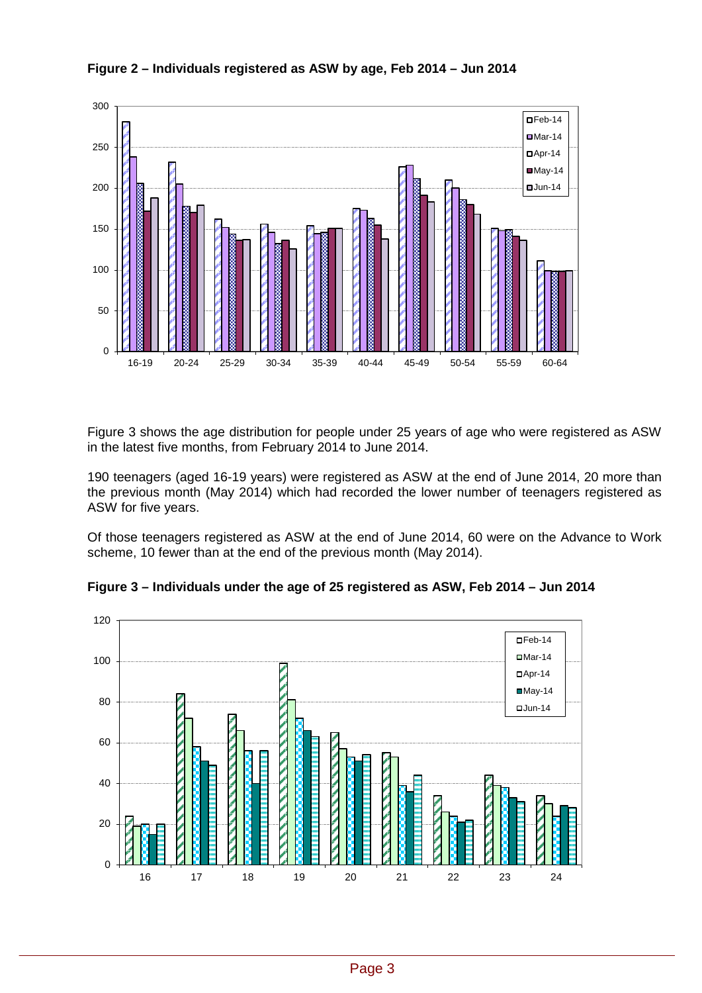



Figure 3 shows the age distribution for people under 25 years of age who were registered as ASW in the latest five months, from February 2014 to June 2014.

190 teenagers (aged 16-19 years) were registered as ASW at the end of June 2014, 20 more than the previous month (May 2014) which had recorded the lower number of teenagers registered as ASW for five years.

Of those teenagers registered as ASW at the end of June 2014, 60 were on the Advance to Work scheme, 10 fewer than at the end of the previous month (May 2014).



**Figure 3 – Individuals under the age of 25 registered as ASW, Feb 2014 – Jun 2014**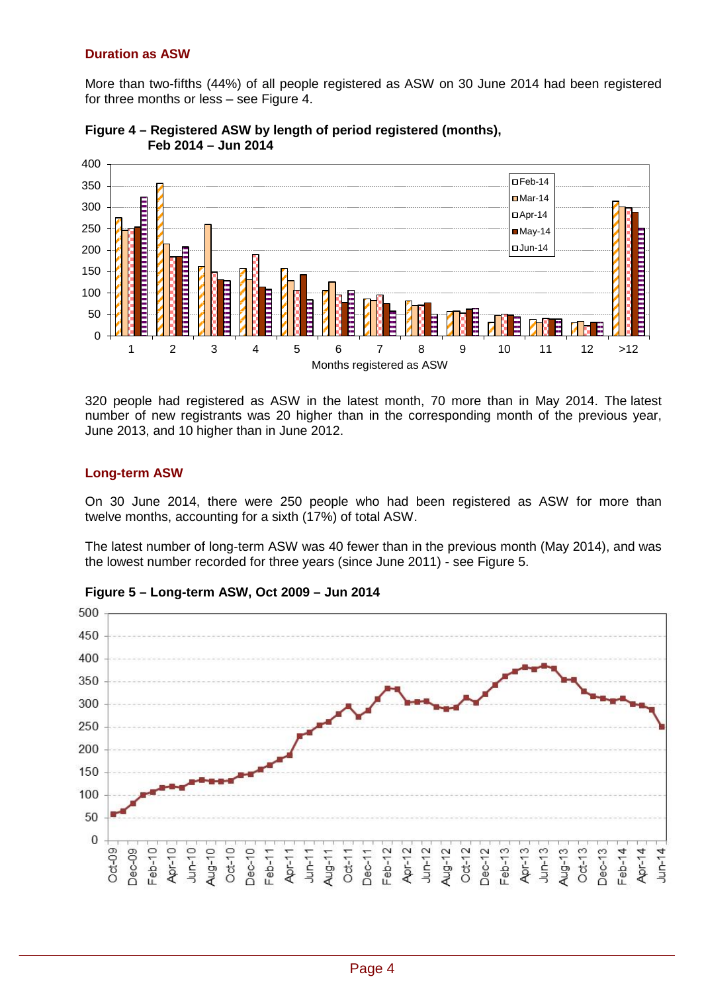#### **Duration as ASW**

More than two-fifths (44%) of all people registered as ASW on 30 June 2014 had been registered for three months or less – see Figure 4.





320 people had registered as ASW in the latest month, 70 more than in May 2014. The latest number of new registrants was 20 higher than in the corresponding month of the previous year, June 2013, and 10 higher than in June 2012.

#### **Long-term ASW**

On 30 June 2014, there were 250 people who had been registered as ASW for more than twelve months, accounting for a sixth (17%) of total ASW.

The latest number of long-term ASW was 40 fewer than in the previous month (May 2014), and was the lowest number recorded for three years (since June 2011) - see Figure 5.



**Figure 5 – Long-term ASW, Oct 2009 – Jun 2014**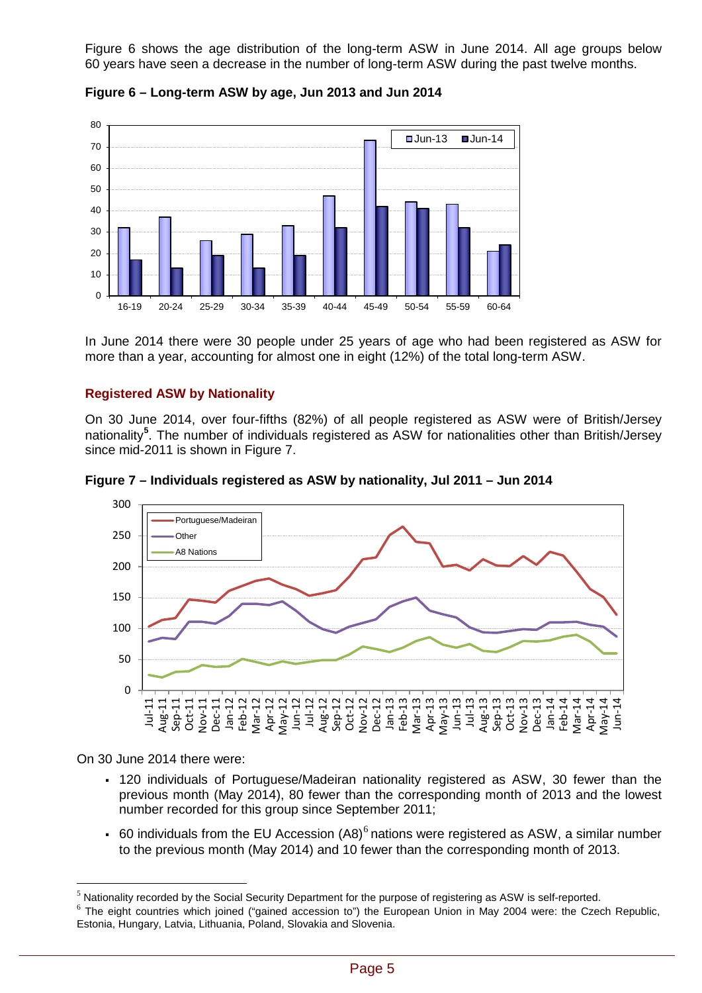Figure 6 shows the age distribution of the long-term ASW in June 2014. All age groups below 60 years have seen a decrease in the number of long-term ASW during the past twelve months.



**Figure 6 – Long-term ASW by age, Jun 2013 and Jun 2014**

In June 2014 there were 30 people under 25 years of age who had been registered as ASW for more than a year, accounting for almost one in eight (12%) of the total long-term ASW.

## **Registered ASW by Nationality**

On 30 June 2014, over four-fifths (82%) of all people registered as ASW were of British/Jersey nationality**[5](#page-4-0)** . The number of individuals registered as ASW for nationalities other than British/Jersey since mid-2011 is shown in Figure 7.





On 30 June 2014 there were:

 $\overline{a}$ 

- 120 individuals of Portuguese/Madeiran nationality registered as ASW, 30 fewer than the previous month (May 2014), 80 fewer than the corresponding month of 2013 and the lowest number recorded for this group since September 2011;
- [6](#page-4-1)0 individuals from the EU Accession  $(A8)^6$  nations were registered as ASW, a similar number to the previous month (May 2014) and 10 fewer than the corresponding month of 2013.

<span id="page-4-0"></span> $<sup>5</sup>$  Nationality recorded by the Social Security Department for the purpose of registering as ASW is self-reported.</sup>

<span id="page-4-1"></span> $6$  The eight countries which joined ("gained accession to") the European Union in May 2004 were: the Czech Republic, Estonia, Hungary, Latvia, Lithuania, Poland, Slovakia and Slovenia.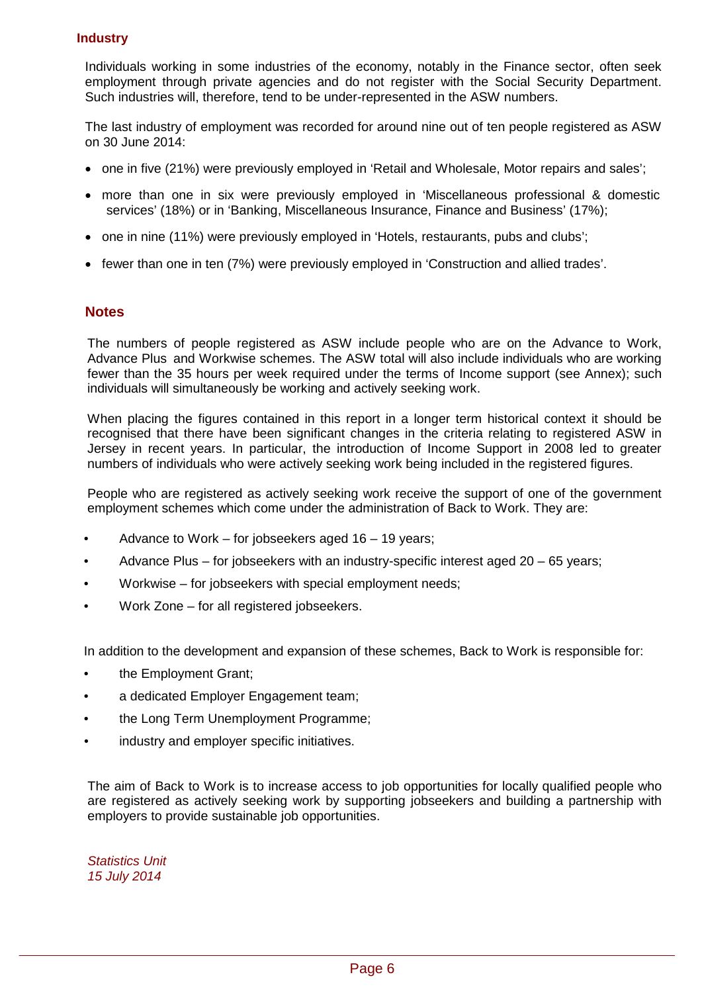## **Industry**

Individuals working in some industries of the economy, notably in the Finance sector, often seek employment through private agencies and do not register with the Social Security Department. Such industries will, therefore, tend to be under-represented in the ASW numbers.

The last industry of employment was recorded for around nine out of ten people registered as ASW on 30 June 2014:

- one in five (21%) were previously employed in 'Retail and Wholesale, Motor repairs and sales';
- more than one in six were previously employed in 'Miscellaneous professional & domestic services' (18%) or in 'Banking, Miscellaneous Insurance, Finance and Business' (17%);
- one in nine (11%) were previously employed in 'Hotels, restaurants, pubs and clubs';
- fewer than one in ten (7%) were previously employed in 'Construction and allied trades'.

## **Notes**

The numbers of people registered as ASW include people who are on the Advance to Work, Advance Plus and Workwise schemes. The ASW total will also include individuals who are working fewer than the 35 hours per week required under the terms of Income support (see Annex); such individuals will simultaneously be working and actively seeking work.

When placing the figures contained in this report in a longer term historical context it should be recognised that there have been significant changes in the criteria relating to registered ASW in Jersey in recent years. In particular, the introduction of Income Support in 2008 led to greater numbers of individuals who were actively seeking work being included in the registered figures.

People who are registered as actively seeking work receive the support of one of the government employment schemes which come under the administration of Back to Work. They are:

- Advance to Work for jobseekers aged 16 19 years;
- Advance Plus for jobseekers with an industry-specific interest aged 20 65 years;
- Workwise for jobseekers with special employment needs;
- Work Zone for all registered iobseekers.

In addition to the development and expansion of these schemes, Back to Work is responsible for:

- the Employment Grant;
- a dedicated Employer Engagement team:
- the Long Term Unemployment Programme;
- industry and employer specific initiatives.

The aim of Back to Work is to increase access to job opportunities for locally qualified people who are registered as actively seeking work by supporting jobseekers and building a partnership with employers to provide sustainable job opportunities.

*Statistics Unit 15 July 2014*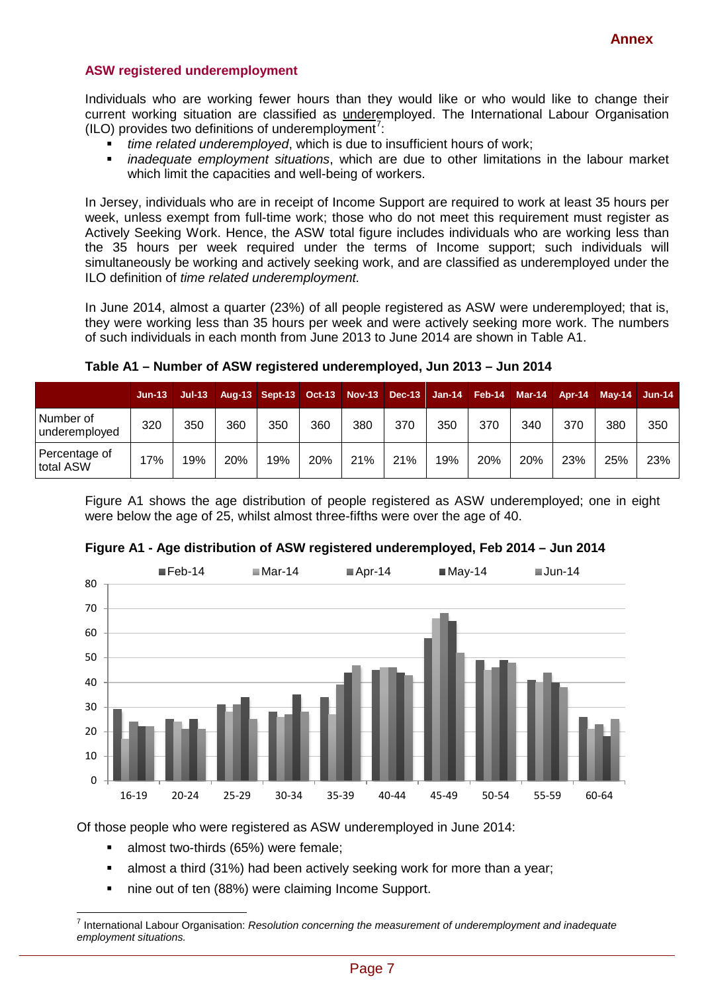#### **ASW registered underemployment**

Individuals who are working fewer hours than they would like or who would like to change their current working situation are classified as underemployed. The International Labour Organisation  $(ILO)$  provides two definitions of underemployment<sup>[7](#page-6-0)</sup>:

- *time related underemployed*, which is due to insufficient hours of work;
- *inadequate employment situations*, which are due to other limitations in the labour market which limit the capacities and well-being of workers.

In Jersey, individuals who are in receipt of Income Support are required to work at least 35 hours per week, unless exempt from full-time work; those who do not meet this requirement must register as Actively Seeking Work. Hence, the ASW total figure includes individuals who are working less than the 35 hours per week required under the terms of Income support; such individuals will simultaneously be working and actively seeking work, and are classified as underemployed under the ILO definition of *time related underemployment.*

In June 2014, almost a quarter (23%) of all people registered as ASW were underemployed; that is, they were working less than 35 hours per week and were actively seeking more work. The numbers of such individuals in each month from June 2013 to June 2014 are shown in Table A1.

|                            | $Jun-131$ | $Jul-13$ |     | Aug-13 Sept-13 Oct-13 Nov-13 Dec-13 Jan-14 Feb-14 Mar-14 |     |     |     |     |     |     |     | Apr-14 May-14 Jun-14 |     |
|----------------------------|-----------|----------|-----|----------------------------------------------------------|-----|-----|-----|-----|-----|-----|-----|----------------------|-----|
| Number of<br>underemployed | 320       | 350      | 360 | 350                                                      | 360 | 380 | 370 | 350 | 370 | 340 | 370 | 380                  | 350 |
| Percentage of<br>total ASW | 17%       | 19%      | 20% | 19%                                                      | 20% | 21% | 21% | 19% | 20% | 20% | 23% | 25%                  | 23% |

**Table A1 – Number of ASW registered underemployed, Jun 2013 – Jun 2014**

Figure A1 shows the age distribution of people registered as ASW underemployed; one in eight were below the age of 25, whilst almost three-fifths were over the age of 40.



#### **Figure A1 - Age distribution of ASW registered underemployed, Feb 2014 – Jun 2014**

Of those people who were registered as ASW underemployed in June 2014:

almost two-thirds (65%) were female;

 $\overline{a}$ 

- almost a third (31%) had been actively seeking work for more than a year;
- nine out of ten (88%) were claiming Income Support.

<span id="page-6-0"></span><sup>7</sup> International Labour Organisation: *Resolution concerning the measurement of underemployment and inadequate employment situations.*